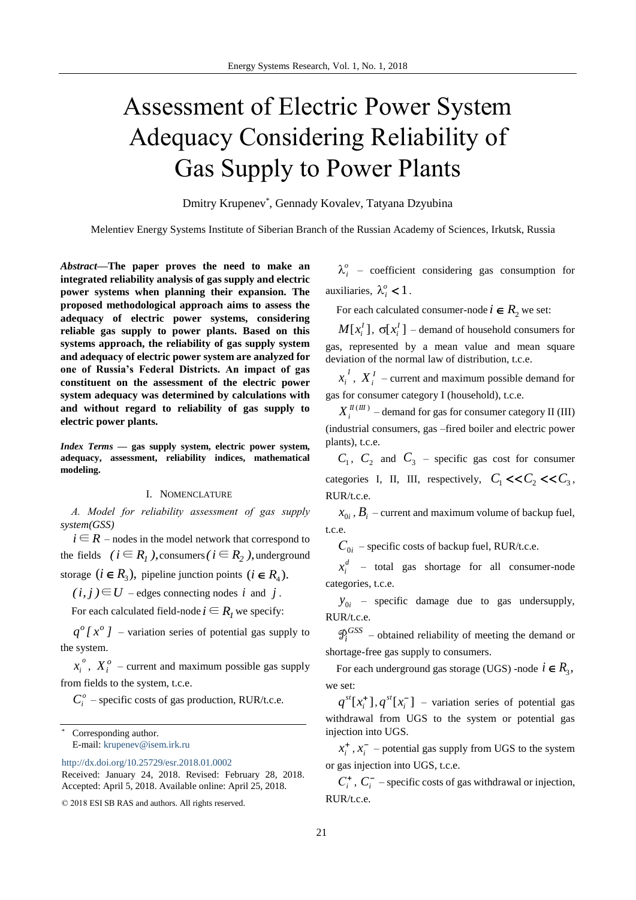# Assessment of Electric Power System Adequacy Considering Reliability of Gas Supply to Power Plants

Dmitry Krupenev\* , Gennady Kovalev, Tatyana Dzyubina

Melentiev Energy Systems Institute of Siberian Branch of the Russian Academy of Sciences, Irkutsk, Russia

*Abstract***—The paper proves the need to make an integrated reliability analysis of gas supply and electric power systems when planning their expansion. The proposed methodological approach aims to assess the adequacy of electric power systems, considering reliable gas supply to power plants. Based on this systems approach, the reliability of gas supply system and adequacy of electric power system are analyzed for one of Russia's Federal Districts. An impact of gas constituent on the assessment of the electric power system adequacy was determined by calculations with and without regard to reliability of gas supply to electric power plants.**

*Index Terms* **— gas supply system, electric power system, adequacy, assessment, reliability indices, mathematical modeling.** 

#### I. NOMENCLATURE

*А. Model for reliability assessment of gas supply system(GSS)*

 $i \in R$  – nodes in the model network that correspond to the fields  $(i \in R_1)$ , consumers  $(i \in R_2)$ , underground

storage  $(i \in R_3)$ , pipeline junction points  $(i \in R_4)$ .

 $(i, j) \in U$  − edges connecting nodes i and j.

For each calculated field-node  $i \in R$ <sub>*I*</sub> we specify:

 $q^{o}$ [ $x^{o}$ ] – variation series of potential gas supply to the system.

*o*  $x_i^o$ ,  $X_i^o$  – current and maximum possible gas supply from fields to the system, t.c.e.

 $C_i^o$  – specific costs of gas production, RUR/t.c.e.

Corresponding author. E-mail: [krupenev@isem.irk.ru](mailto:krupenev@isem.irk.ru)

<http://dx.doi.org/10.25729/esr.2018.01.0002>

© 2018 ESI SB RAS and authors. All rights reserved.

 $\lambda_i^o$  – coefficient considering gas consumption for auxiliaries,  $\lambda_i^o < 1$ .

For each calculated consumer-node  $i \in R_2$  we set:

 $M[x_i^I]$ ,  $\sigma[x_i^I]$  – demand of household consumers for gas, represented by a mean value and mean square deviation of the normal law of distribution, t.c.e.

*I*  $x_i^I$ ,  $X_i^I$  – current and maximum possible demand for gas for consumer category I (household), t.c.e.

 $X_i^{I\!I\,(III)}$  – demand for gas for consumer category II (III) (industrial consumers, gas –fired boiler and electric power plants), t.c.e.

 $C_1$ ,  $C_2$  and  $C_3$  – specific gas cost for consumer categories I, II, III, respectively,  $C_1$  << $C_2$  << $C_3$ , RUR/t.c.e.

 $x_{0i}$ ,  $B_i$  – current and maximum volume of backup fuel, t.c.e.

 $C_{0i}$  – specific costs of backup fuel, RUR/t.c.e.

*d*  $x_i^d$  – total gas shortage for all consumer-node categories, t.c.e.

 $y_{0i}$  – specific damage due to gas undersupply, RUR/t.c.e.

 $\mathcal{D}_i^{GSS}$  – obtained reliability of meeting the demand or shortage-free gas supply to consumers.

For each underground gas storage (UGS) -node  $i \in R_3$ , we set:

 $[x_i^+]$ *i*  $q^{st}[x_i^{\dagger}], q^{st}[x_i^{\dagger}]$ *i*  $q^{st}[x_i]$  – variation series of potential gas withdrawal from UGS to the system or potential gas injection into UGS.

 $\ddot{}$  $x_i^+$ ,  $x_i^$  $x_i^-$  – potential gas supply from UGS to the system or gas injection into UGS, t.c.e.

 *Сi* , *Ci* – specific costs of gas withdrawal or injection, RUR/t.c.e.

Received: January 24, 2018. Revised: February 28, 2018. Accepted: April 5, 2018. Available online: April 25, 2018.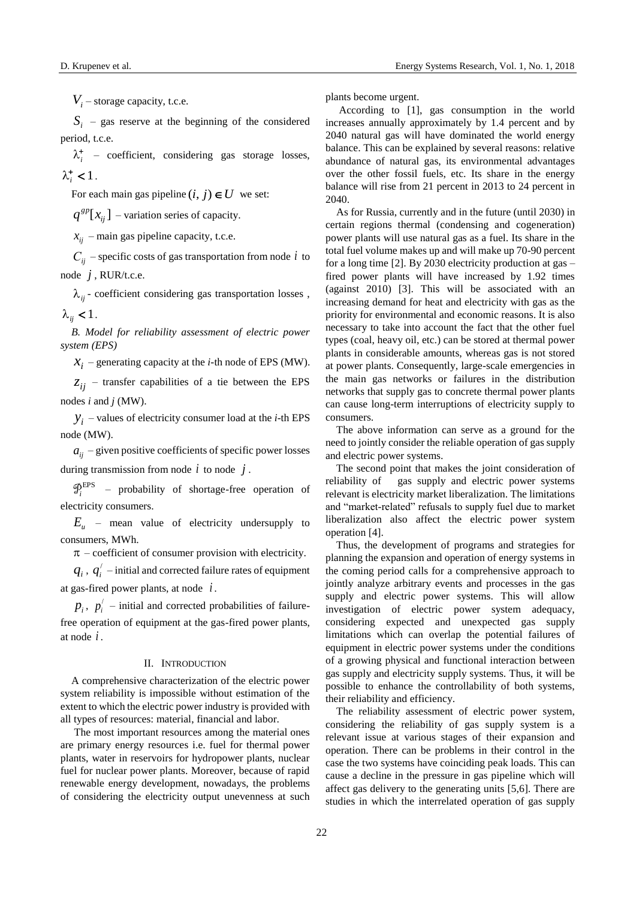*Vi* – storage capacity, t.c.e.

 $S_i$  – gas reserve at the beginning of the considered period, t.c.e.

 $\lambda_i^+$  – coefficient, considering gas storage losses,  $\lambda_i^+$  < 1.

For each main gas pipeline  $(i, j) \in U$  we set:

 $[x_{ij}]$  $q^{gp}[x_{ij}]$  – variation series of capacity.

 $x_{ii}$  – main gas pipeline capacity, t.c.e.

*Сij* – specific costs of gas transportation from node *i* to node *j* , RUR/t.c.e.

 $\lambda_{ij}$  - coefficient considering gas transportation losses,  $\lambda_{ii}$  < 1.

*B. Model for reliability assessment of electric power system (EPS)* 

 $X_i$  – generating capacity at the *i*-th node of EPS (MW).

 $z_{ii}$  – transfer capabilities of a tie between the EPS nodes *i* and *j* (MW).

 $y_i$  – values of electricity consumer load at the *i*-th EPS node (MW).

 $a_{ii}$  – given positive coefficients of specific power losses during transmission from node  $i$  to node  $j$ .

 $\mathcal{D}_i^{\text{EPS}}$  – probability of shortage-free operation of electricity consumers.

 $E$ <sup>*u*</sup> – mean value of electricity undersupply to consumers, MWh.

 $\pi$  – coefficient of consumer provision with electricity.

 $q_i$ ,  $q'_i$  – initial and corrected failure rates of equipment at gas-fired power plants, at node *i .*

 $p_i$ ,  $p'_i$  – initial and corrected probabilities of failurefree operation of equipment at the gas-fired power plants, at node *i .*

## II. INTRODUCTION

A comprehensive characterization of the electric power system reliability is impossible without estimation of the extent to which the electric power industry is provided with all types of resources: material, financial and labor.

The most important resources among the material ones are primary energy resources i.e. fuel for thermal power plants, water in reservoirs for hydropower plants, nuclear fuel for nuclear power plants. Moreover, because of rapid renewable energy development, nowadays, the problems of considering the electricity output unevenness at such

plants become urgent.

According to [1], gas consumption in the world increases annually approximately by 1.4 percent and by 2040 natural gas will have dominated the world energy balance. This can be explained by several reasons: relative abundance of natural gas, its environmental advantages over the other fossil fuels, etc. Its share in the energy balance will rise from 21 percent in 2013 to 24 percent in 2040.

As for Russia, currently and in the future (until 2030) in certain regions thermal (condensing and cogeneration) power plants will use natural gas as a fuel. Its share in the total fuel volume makes up and will make up 70-90 percent for a long time [2]. By 2030 electricity production at gas – fired power plants will have increased by 1.92 times (against 2010) [3]. This will be associated with an increasing demand for heat and electricity with gas as the priority for environmental and economic reasons. It is also necessary to take into account the fact that the other fuel types (coal, heavy oil, etc.) can be stored at thermal power plants in considerable amounts, whereas gas is not stored at power plants. Consequently, large-scale emergencies in the main gas networks or failures in the distribution networks that supply gas to concrete thermal power plants can cause long-term interruptions of electricity supply to consumers.

The above information can serve as a ground for the need to jointly consider the reliable operation of gas supply and electric power systems.

The second point that makes the joint consideration of reliability of gas supply and electric power systems relevant is electricity market liberalization. The limitations and "market-related" refusals to supply fuel due to market liberalization also affect the electric power system operation [4].

Thus, the development of programs and strategies for planning the expansion and operation of energy systems in the coming period calls for a comprehensive approach to jointly analyze arbitrary events and processes in the gas supply and electric power systems. This will allow investigation of electric power system adequacy, considering expected and unexpected gas supply limitations which can overlap the potential failures of equipment in electric power systems under the conditions of a growing physical and functional interaction between gas supply and electricity supply systems. Thus, it will be possible to enhance the controllability of both systems, their reliability and efficiency.

The reliability assessment of electric power system, considering the reliability of gas supply system is a relevant issue at various stages of their expansion and operation. There can be problems in their control in the case the two systems have coinciding peak loads. This can cause a decline in the pressure in gas pipeline which will affect gas delivery to the generating units [5,6]. There are studies in which the interrelated operation of gas supply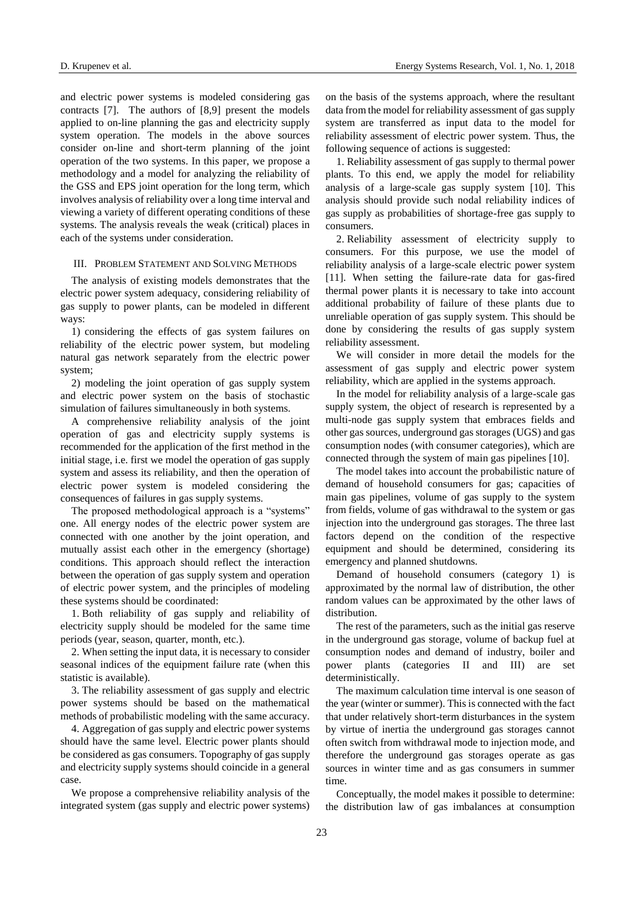and electric power systems is modeled considering gas contracts [7]. The authors of [8,9] present the models applied to on-line planning the gas and electricity supply system operation. The models in the above sources consider on-line and short-term planning of the joint operation of the two systems. In this paper, we propose a methodology and a model for analyzing the reliability of the GSS and EPS joint operation for the long term, which involves analysis of reliability over a long time interval and viewing a variety of different operating conditions of these systems. The analysis reveals the weak (critical) places in each of the systems under consideration.

### III. PROBLEM STATEMENT AND SOLVING METHODS

The analysis of existing models demonstrates that the electric power system adequacy, considering reliability of gas supply to power plants, can be modeled in different ways:

1) considering the effects of gas system failures on reliability of the electric power system, but modeling natural gas network separately from the electric power system;

2) modeling the joint operation of gas supply system and electric power system on the basis of stochastic simulation of failures simultaneously in both systems.

A comprehensive reliability analysis of the joint operation of gas and electricity supply systems is recommended for the application of the first method in the initial stage, i.e. first we model the operation of gas supply system and assess its reliability, and then the operation of electric power system is modeled considering the consequences of failures in gas supply systems.

The proposed methodological approach is a "systems" one. All energy nodes of the electric power system are connected with one another by the joint operation, and mutually assist each other in the emergency (shortage) conditions. This approach should reflect the interaction between the operation of gas supply system and operation of electric power system, and the principles of modeling these systems should be coordinated:

1. Both reliability of gas supply and reliability of electricity supply should be modeled for the same time periods (year, season, quarter, month, etc.).

2. When setting the input data, it is necessary to consider seasonal indices of the equipment failure rate (when this statistic is available).

3. The reliability assessment of gas supply and electric power systems should be based on the mathematical methods of probabilistic modeling with the same accuracy.

4. Aggregation of gas supply and electric power systems should have the same level. Electric power plants should be considered as gas consumers. Topography of gas supply and electricity supply systems should coincide in a general case.

We propose a comprehensive reliability analysis of the integrated system (gas supply and electric power systems)

on the basis of the systems approach, where the resultant data from the model for reliability assessment of gas supply system are transferred as input data to the model for reliability assessment of electric power system. Thus, the following sequence of actions is suggested:

1. Reliability assessment of gas supply to thermal power plants. To this end, we apply the model for reliability analysis of a large-scale gas supply system [10]. This analysis should provide such nodal reliability indices of gas supply as probabilities of shortage-free gas supply to consumers.

2. Reliability assessment of electricity supply to consumers. For this purpose, we use the model of reliability analysis of a large-scale electric power system [11]. When setting the failure-rate data for gas-fired thermal power plants it is necessary to take into account additional probability of failure of these plants due to unreliable operation of gas supply system. This should be done by considering the results of gas supply system reliability assessment.

We will consider in more detail the models for the assessment of gas supply and electric power system reliability, which are applied in the systems approach.

In the model for reliability analysis of a large-scale gas supply system, the object of research is represented by a multi-node gas supply system that embraces fields and other gas sources, underground gas storages (UGS) and gas consumption nodes (with consumer categories), which are connected through the system of main gas pipelines [10].

The model takes into account the probabilistic nature of demand of household consumers for gas; capacities of main gas pipelines, volume of gas supply to the system from fields, volume of gas withdrawal to the system or gas injection into the underground gas storages. The three last factors depend on the condition of the respective equipment and should be determined, considering its emergency and planned shutdowns.

Demand of household consumers (category 1) is approximated by the normal law of distribution, the other random values can be approximated by the other laws of distribution.

The rest of the parameters, such as the initial gas reserve in the underground gas storage, volume of backup fuel at consumption nodes and demand of industry, boiler and power plants (categories II and III) are set deterministically.

The maximum calculation time interval is one season of the year (winter or summer). This is connected with the fact that under relatively short-term disturbances in the system by virtue of inertia the underground gas storages cannot often switch from withdrawal mode to injection mode, and therefore the underground gas storages operate as gas sources in winter time and as gas consumers in summer time.

Conceptually, the model makes it possible to determine: the distribution law of gas imbalances at consumption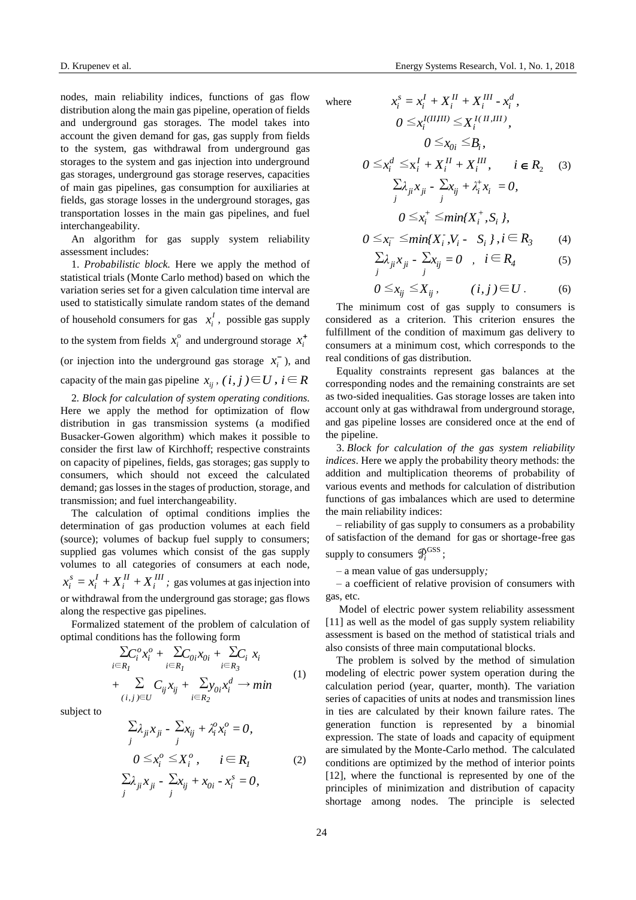nodes, main reliability indices, functions of gas flow distribution along the main gas pipeline, operation of fields and underground gas storages. The model takes into account the given demand for gas, gas supply from fields to the system, gas withdrawal from underground gas storages to the system and gas injection into underground gas storages, underground gas storage reserves, capacities of main gas pipelines, gas consumption for auxiliaries at fields, gas storage losses in the underground storages, gas transportation losses in the main gas pipelines, and fuel interchangeability.

An algorithm for gas supply system reliability assessment includes:

1. *Probabilistic block.* Here we apply the method of statistical trials (Monte Carlo method) based on which the variation series set for a given calculation time interval are used to statistically simulate random states of the demand of household consumers for gas  $x_i^l$  $x_i^I$ , possible gas supply to the system from fields  $x_i^{\circ}$  $x_i^{\circ}$  and underground storage  $x_i^{\dagger}$ *i x* (or injection into the underground gas storage  $x_i^ \bar{x}_i$ <sup>-</sup>), and capacity of the main gas pipeline  $x_{ij}$ ,  $(i, j) \in U$ ,  $i \in R$ 2*. Block for calculation of system operating conditions.* 

Here we apply the method for optimization of flow distribution in gas transmission systems (a modified Busacker-Gowen algorithm) which makes it possible to consider the first law of Kirchhoff; respective constraints on capacity of pipelines, fields, gas storages; gas supply to consumers, which should not exceed the calculated demand; gas losses in the stages of production, storage, and transmission; and fuel interchangeability.

The calculation of optimal conditions implies the determination of gas production volumes at each field (source); volumes of backup fuel supply to consumers; supplied gas volumes which consist of the gas supply volumes to all categories of consumers at each node, *III i II i I i*  $x_i^s = x_i^I + X_i^H + X_i^H$ ; gas volumes at gas injection into or withdrawal from the underground gas storage; gas flows along the respective gas pipelines.

Formalized statement of the problem of calculation of optimal conditions has the following form

$$
\sum_{i \in R_l} C_i^o x_i^o + \sum_{i \in R_l} C_{0i} x_{0i} + \sum_{i \in R_3} x_i
$$
  
+ 
$$
\sum_{(i,j) \in U} C_{ij} x_{ij} + \sum_{i \in R_2} y_{0i} x_i^d \rightarrow min
$$
 (1)

subject to

$$
\sum_{j} \lambda_{ji} x_{ji} - \sum_{j} x_{ij} + \lambda_i^o x_i^o = 0,
$$
  
\n
$$
0 \le x_i^o \le X_i^o, \quad i \in R_I
$$
  
\n
$$
\sum_{j} \lambda_{ji} x_{ji} - \sum_{j} x_{ij} + x_{0i} - x_i^s = 0,
$$
  
\n(2)

D. Krupenev et al. [Energy Systems Research,](http://esrj.ru/) Vol. 1, No. 1, 2018

*III*

where 
$$
x_i^s = x_i^I + X_i^{II} + X_i^{III} - x_i^d,
$$

$$
0 \le x_i^{I(II,III)} \le X_i^{I(II,III)},
$$

$$
0 \le x_{0i} \le B_i,
$$

$$
0 \le x_i^d \le x_i^I + X_i^{II} + X_i^{III}, \quad i \in R_2 \quad (3)
$$

$$
\sum \lambda_{ji} x_{ji} - \sum x_{ij} + \lambda_i^+ x_i = 0,
$$

$$
0 \le x_i^+ \le \min\{X_i^+, S_i\},
$$

$$
0 \le x_i^- \le \min\{X_i^-, V_i - S_i\}, i \in R_3 \quad (4)
$$

*II*

*I*

$$
\sum_{j} \lambda_{ji} x_{ji} - \sum_{j} x_{ij} = 0 \quad , \quad i \in R_4 \tag{5}
$$

$$
0 \leq x_{ij} \leq X_{ij}, \qquad (i,j) \in U. \qquad (6)
$$

The minimum cost of gas supply to consumers is considered as a criterion. This criterion ensures the fulfillment of the condition of maximum gas delivery to consumers at a minimum cost, which corresponds to the real conditions of gas distribution.

Equality constraints represent gas balances at the corresponding nodes and the remaining constraints are set as two-sided inequalities. Gas storage losses are taken into account only at gas withdrawal from underground storage, and gas pipeline losses are considered once at the end of the pipeline.

3. *Block for calculation of the gas system reliability indices*. Here we apply the probability theory methods: the addition and multiplication theorems of probability of various events and methods for calculation of distribution functions of gas imbalances which are used to determine the main reliability indices:

– reliability of gas supply to consumers as a probability of satisfaction of the demand for gas or shortage-free gas supply to consumers  $\mathcal{P}_i^{\text{GSS}}$ ;

– a mean value of gas undersupply*;*

– a coefficient of relative provision of consumers with gas, etc.

Model of electric power system reliability assessment [11] as well as the model of gas supply system reliability assessment is based on the method of statistical trials and also consists of three main computational blocks.

The problem is solved by the method of simulation modeling of electric power system operation during the calculation period (year, quarter, month). The variation series of capacities of units at nodes and transmission lines in ties are calculated by their known failure rates. The generation function is represented by a binomial expression. The state of loads and capacity of equipment are simulated by the Monte-Carlo method. The calculated conditions are optimized by the method of interior points [12], where the functional is represented by one of the principles of minimization and distribution of capacity shortage among nodes. The principle is selected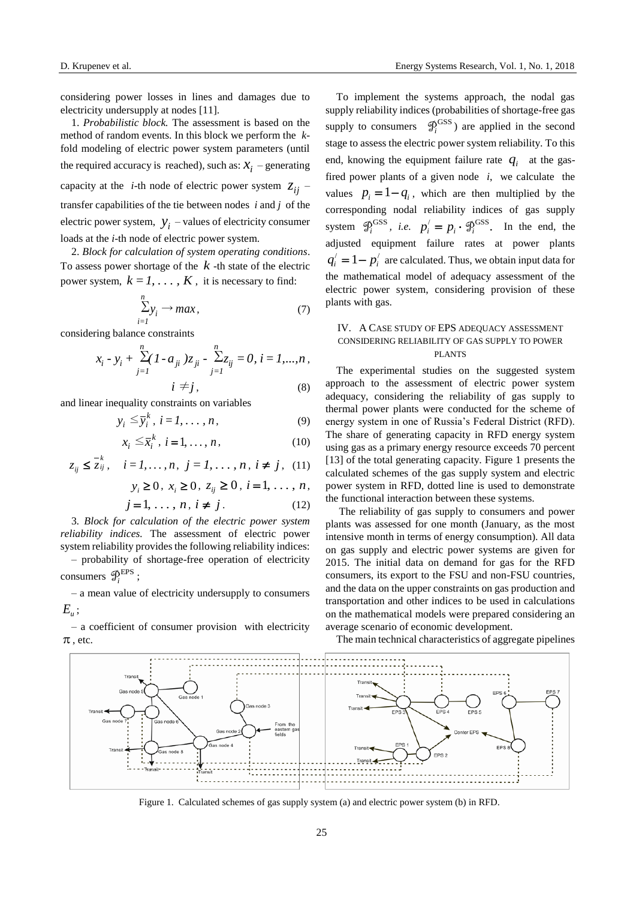considering power losses in lines and damages due to electricity undersupply at nodes [11].

1. *Probabilistic block.* The assessment is based on the method of random events. In this block we perform the *k*fold modeling of electric power system parameters (until the required accuracy is reached), such as:  $x_i$  – generating capacity at the *i*-th node of electric power system  $z_{ij}$  – transfer capabilities of the tie between nodes *i* and *j* of the electric power system,  $y_i$  – values of electricity consumer loads at the *i*-th node of electric power system.

2. *Block for calculation of system operating conditions*. To assess power shortage of the  $k$ -th state of the electric power system,  $k = 1, \ldots, K$ , it is necessary to find:

$$
\sum_{i=1}^{n} y_i \to \max, \tag{7}
$$

considering balance constraints

$$
x_i - y_i + \sum_{j=1}^n (1 - a_{ji}) z_{ji} - \sum_{j=1}^n z_{ij} = 0, i = 1, ..., n,
$$
  

$$
i \neq j,
$$
 (8)

and linear inequality constraints on variables

$$
y_i \leq \overline{y}_i^k, i = 1, \dots, n,
$$
 (9)

$$
x_i \leq \overline{x}_i^k, \ i = 1, \dots, n, \tag{10}
$$

$$
z_{ij} \leq \overline{z}_{ij}, \quad i = 1, ..., n, \ j = 1, ..., n, \ i \neq j, \ (11)
$$

$$
y_i \ge 0, x_i \ge 0, z_{ij} \ge 0, i = 1, ..., n,
$$

$$
j = 1, \dots, n, i \neq j. \tag{12}
$$

3*. Block for calculation of the electric power system reliability indices.* The assessment of electric power system reliability provides the following reliability indices:

– probability of shortage-free operation of electricity consumers  $\mathcal{P}_i^{\text{EPS}}$ ;

– a mean value of electricity undersupply to consumers *Eu* ;

– a coefficient of consumer provision with electricity  $\pi$ , etc.

To implement the systems approach, the nodal gas supply reliability indices (probabilities of shortage-free gas supply to consumers  $\mathcal{P}_i^{\text{GSS}}$  are applied in the second stage to assess the electric power system reliability. To this end, knowing the equipment failure rate  $q_i$  at the gasfired power plants of a given node *i*, we calculate the values  $p_i = 1 - q_i$ , which are then multiplied by the corresponding nodal reliability indices of gas supply system  $\mathcal{P}_i^{\text{GSS}}$ , *i.e.*  $p_i' = p_i \cdot \mathcal{P}_i^{\text{GSS}}$ . In the end, the adjusted equipment failure rates at power plants  $q'_i = 1 - p'_i$  are calculated. Thus, we obtain input data for the mathematical model of adequacy assessment of the electric power system, considering provision of these plants with gas.

# IV. A CASE STUDY OF EPS ADEQUACY ASSESSMENT CONSIDERING RELIABILITY OF GAS SUPPLY TO POWER PLANTS

The experimental studies on the suggested system approach to the assessment of electric power system adequacy, considering the reliability of gas supply to thermal power plants were conducted for the scheme of energy system in one of Russia's Federal District (RFD). The share of generating capacity in RFD energy system using gas as a primary energy resource exceeds 70 percent [13] of the total generating capacity. Figure 1 presents the calculated schemes of the gas supply system and electric power system in RFD, dotted line is used to demonstrate the functional interaction between these systems.

The reliability of gas supply to consumers and power plants was assessed for one month (January, as the most intensive month in terms of energy consumption). All data on gas supply and electric power systems are given for 2015. The initial data on demand for gas for the RFD consumers, its export to the FSU and non-FSU countries, and the data on the upper constraints on gas production and transportation and other indices to be used in calculations on the mathematical models were prepared considering an average scenario of economic development.

The main technical characteristics of aggregate pipelines



Figure 1. Calculated schemes of gas supply system (a) and electric power system (b) in RFD.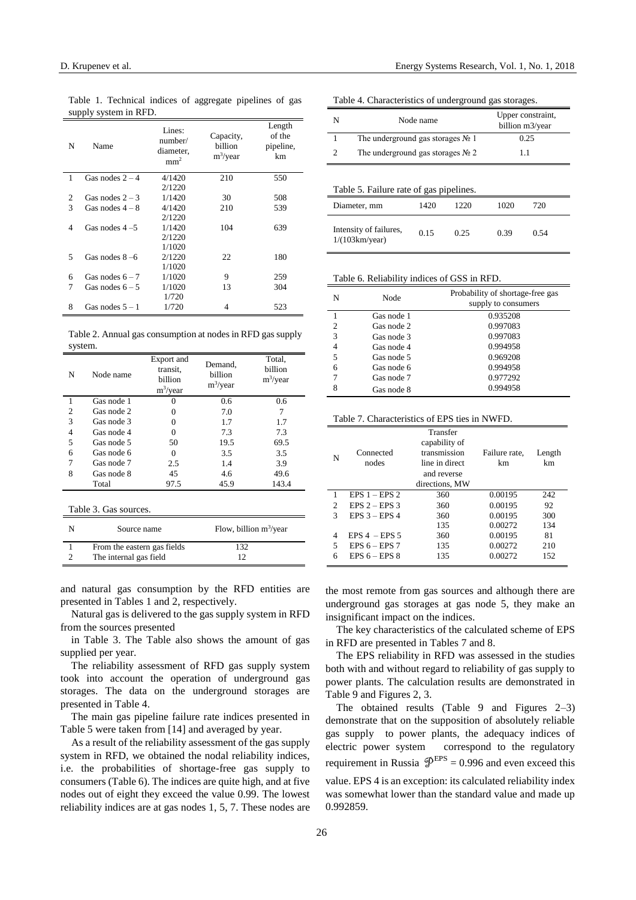| T L - 7 |                   |                                                   |                                     |                                     |
|---------|-------------------|---------------------------------------------------|-------------------------------------|-------------------------------------|
| N       | Name              | Lines:<br>number/<br>diameter,<br>mm <sup>2</sup> | Capacity,<br>billion<br>$m^3$ /year | Length<br>of the<br>pipeline,<br>km |
| 1       | Gas nodes $2 - 4$ | 4/1420                                            | 210                                 | 550                                 |
|         |                   | 2/1220                                            |                                     |                                     |
| 2       | Gas nodes $2-3$   | 1/1420                                            | 30                                  | 508                                 |
| 3       | Gas nodes $4-8$   | 4/1420                                            | 210                                 | 539                                 |
|         |                   | 2/1220                                            |                                     |                                     |
| 4       | Gas nodes $4-5$   | 1/1420                                            | 104                                 | 639                                 |
|         |                   | 2/1220                                            |                                     |                                     |
|         |                   | 1/1020                                            |                                     |                                     |
| 5       | Gas nodes $8-6$   | 2/1220                                            | 22                                  | 180                                 |
|         |                   | 1/1020                                            |                                     |                                     |
| 6       | Gas nodes $6 - 7$ | 1/1020                                            | 9                                   | 259                                 |
| 7       | Gas nodes $6 - 5$ | 1/1020                                            | 13                                  | 304                                 |
|         |                   | 1/720                                             |                                     |                                     |
| 8       | Gas nodes $5 - 1$ | 1/720                                             | 4                                   | 523                                 |
|         |                   |                                                   |                                     |                                     |

Table 1. Technical indices of aggregate pipelines of gas supply system in RFD.

Table 2. Annual gas consumption at nodes in RFD gas supply system.

| N                     | Node name                   | Export and<br>transit,<br>billion<br>$m^3$ /year | Demand.<br>billion<br>$m^3$ /year | Total,<br>billion<br>$m^3$ /year |  |
|-----------------------|-----------------------------|--------------------------------------------------|-----------------------------------|----------------------------------|--|
| 1                     | Gas node 1                  | 0                                                | 0.6                               | 0.6                              |  |
| 2                     | Gas node 2                  | 0                                                | 7.0                               | 7                                |  |
| 3                     | Gas node 3                  | 0                                                | 1.7                               | 1.7                              |  |
| 4                     | Gas node 4                  | 0                                                | 7.3                               | 7.3                              |  |
| 5                     | Gas node 5                  | 50                                               | 19.5                              | 69.5                             |  |
| 6                     | Gas node 6                  | $\Omega$                                         | 3.5                               | 3.5                              |  |
| 7                     | Gas node 7                  | 2.5                                              | 1.4                               | 3.9                              |  |
| 8                     | Gas node 8                  | 45                                               | 4.6                               | 49.6                             |  |
|                       | Total                       | 97.5                                             | 45.9                              | 143.4                            |  |
| Table 3. Gas sources. |                             |                                                  |                                   |                                  |  |
| N                     | Source name                 |                                                  | Flow, billion $m^3$ /year         |                                  |  |
|                       | From the eastern gas fields |                                                  | 132                               |                                  |  |
|                       | The internal gas field      |                                                  | 12                                |                                  |  |

and natural gas consumption by the RFD entities are presented in Tables 1 and 2, respectively.

Natural gas is delivered to the gas supply system in RFD from the sources presented

in Table 3. The Table also shows the amount of gas supplied per year.

The reliability assessment of RFD gas supply system took into account the operation of underground gas storages. The data on the underground storages are presented in Table 4.

The main gas pipeline failure rate indices presented in Table 5 were taken from [14] and averaged by year.

As a result of the reliability assessment of the gas supply system in RFD, we obtained the nodal reliability indices, i.e. the probabilities of shortage-free gas supply to consumers (Table 6). The indices are quite high, and at five nodes out of eight they exceed the value 0.99. The lowest reliability indices are at gas nodes 1, 5, 7. These nodes are

| Table 4. Characteristics of underground gas storages.                    |                                             |  |  |                                      |  |
|--------------------------------------------------------------------------|---------------------------------------------|--|--|--------------------------------------|--|
| N                                                                        | Node name                                   |  |  | Upper constraint,<br>billion m3/year |  |
|                                                                          | The underground gas storages $N_2$ 1        |  |  | 0.25                                 |  |
| $\mathfrak{D}$                                                           | The underground gas storages $N_2$ 2<br>1.1 |  |  |                                      |  |
| Table 5. Failure rate of gas pipelines.                                  |                                             |  |  |                                      |  |
| 1420<br>1220<br>1020<br>720<br>Diameter, mm                              |                                             |  |  |                                      |  |
| Intensity of failures,<br>0.15<br>0.25<br>0.39<br>0.54<br>1/(103km/year) |                                             |  |  |                                      |  |

Table 6. Reliability indices of GSS in RFD.

| N              | Node       | Probability of shortage-free gas<br>supply to consumers |
|----------------|------------|---------------------------------------------------------|
|                | Gas node 1 | 0.935208                                                |
| $\overline{c}$ | Gas node 2 | 0.997083                                                |
| 3              | Gas node 3 | 0.997083                                                |
| 4              | Gas node 4 | 0.994958                                                |
| 5              | Gas node 5 | 0.969208                                                |
| 6              | Gas node 6 | 0.994958                                                |
| 7              | Gas node 7 | 0.977292                                                |
| 8              | Gas node 8 | 0.994958                                                |

Table 7. Characteristics of EPS ties in NWFD.

| N              | Connected<br>nodes | Transfer<br>capability of<br>transmission<br>line in direct<br>and reverse<br>directions, MW | Failure rate,<br>km | Length<br>km |
|----------------|--------------------|----------------------------------------------------------------------------------------------|---------------------|--------------|
| 1              | $EPS 1 - EPS 2$    | 360                                                                                          | 0.00195             | 242          |
| $\overline{c}$ | EPS $2 -$ EPS 3    | 360                                                                                          | 0.00195             | 92           |
| 3              | $EPS 3 - EPS 4$    | 360                                                                                          | 0.00195             | 300          |
|                |                    | 135                                                                                          | 0.00272             | 134          |
| 4              | EPS $4$ – EPS 5    | 360                                                                                          | 0.00195             | 81           |
| 5              | EPS $6 -$ EPS 7    | 135                                                                                          | 0.00272             | 210          |
| 6              | EPS $6 -$ EPS $8$  | 135                                                                                          | 0.00272             | 152          |

the most remote from gas sources and although there are underground gas storages at gas node 5, they make an insignificant impact on the indices.

The key characteristics of the calculated scheme of EPS in RFD are presented in Tables 7 and 8.

The EPS reliability in RFD was assessed in the studies both with and without regard to reliability of gas supply to power plants. The calculation results are demonstrated in Table 9 and Figures 2, 3.

The obtained results (Table 9 and Figures 2–3) demonstrate that on the supposition of absolutely reliable gas supply to power plants, the adequacy indices of electric power system correspond to the regulatory requirement in Russia  $\mathcal{P}^{EPS} = 0.996$  and even exceed this value. EPS 4 is an exception: its calculated reliability index was somewhat lower than the standard value and made up 0.992859.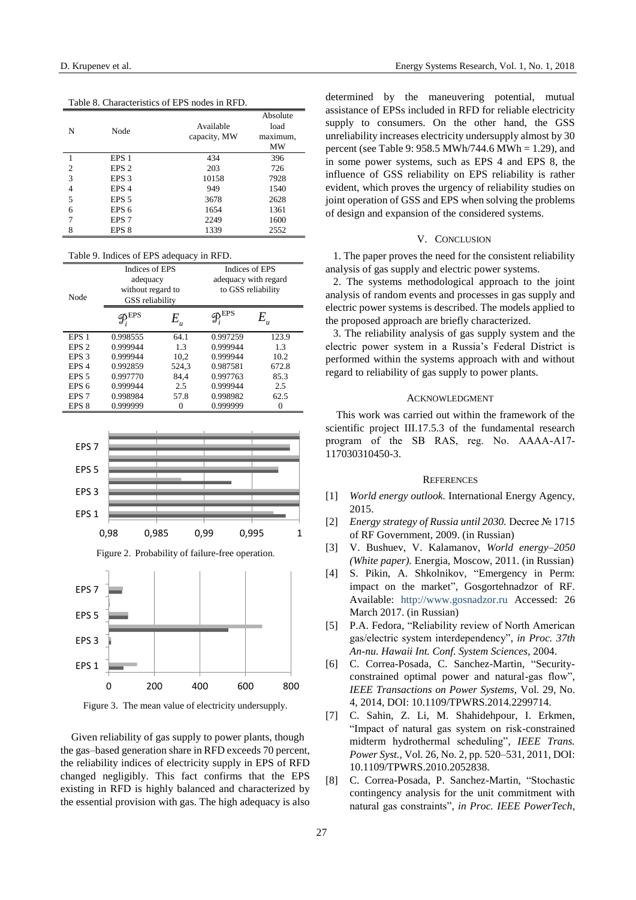Table 8. Characteristics of EPS nodes in RFD.

| N | Node             | Available<br>capacity, MW | Absolute<br>load<br>maximum,<br>MW |
|---|------------------|---------------------------|------------------------------------|
|   | EPS <sub>1</sub> | 434                       | 396                                |
| 2 | EPS <sub>2</sub> | 203                       | 726                                |
| 3 | EPS <sub>3</sub> | 10158                     | 7928                               |
| 4 | EPS <sub>4</sub> | 949                       | 1540                               |
| 5 | EPS <sub>5</sub> | 3678                      | 2628                               |
| 6 | EPS <sub>6</sub> | 1654                      | 1361                               |
| 7 | EPS <sub>7</sub> | 2249                      | 1600                               |
| 8 | EPS 8            | 1339                      | 2552                               |

Table 9. Indices of EPS adequacy in RFD.

| Node             | Indices of EPS<br>adequacy<br>without regard to<br>GSS reliability |         | Indices of EPS<br>adequacy with regard<br>to GSS reliability |       |
|------------------|--------------------------------------------------------------------|---------|--------------------------------------------------------------|-------|
|                  | $\mathcal{P}^{\text{EPS}}_i$                                       | $E_{u}$ | 、EPS                                                         | $E_u$ |
| EPS <sub>1</sub> | 0.998555                                                           | 64.1    | 0.997259                                                     | 123.9 |
| EPS <sub>2</sub> | 0.999944                                                           | 1.3     | 0.999944                                                     | 1.3   |
| EPS <sub>3</sub> | 0.999944                                                           | 10.2    | 0.999944                                                     | 10.2  |
| EPS <sub>4</sub> | 0.992859                                                           | 524,3   | 0.987581                                                     | 672.8 |
| EPS <sub>5</sub> | 0.997770                                                           | 84.4    | 0.997763                                                     | 85.3  |
| EPS <sub>6</sub> | 0.999944                                                           | 2.5     | 0.999944                                                     | 2.5   |
| EPS <sub>7</sub> | 0.998984                                                           | 57.8    | 0.998982                                                     | 62.5  |
| EPS 8            | 0.999999                                                           | 0       | 0.999999                                                     | 0     |



Figure 2. Probability of failure-free operation.





Given reliability of gas supply to power plants, though the gas–based generation share in RFD exceeds 70 percent, the reliability indices of electricity supply in EPS of RFD changed negligibly. This fact confirms that the EPS existing in RFD is highly balanced and characterized by the essential provision with gas. The high adequacy is also determined by the maneuvering potential, mutual assistance of EPSs included in RFD for reliable electricity supply to consumers. On the other hand, the GSS unreliability increases electricity undersupply almost by 30 percent (see Table 9: 958.5 MWh/744.6 MWh = 1.29), and in some power systems, such as EPS 4 and EPS 8, the influence of GSS reliability on EPS reliability is rather evident, which proves the urgency of reliability studies on joint operation of GSS and EPS when solving the problems of design and expansion of the considered systems.

# V. CONCLUSION

1. The paper proves the need for the consistent reliability analysis of gas supply and electric power systems.

2. The systems methodological approach to the joint analysis of random events and processes in gas supply and electric power systems is described. The models applied to the proposed approach are briefly characterized.

3. The reliability analysis of gas supply system and the electric power system in a Russia's Federal District is performed within the systems approach with and without regard to reliability of gas supply to power plants.

#### ACKNOWLEDGMENT

This work was carried out within the framework of the scientific project III.17.5.3 of the fundamental research program of the SB RAS, reg. No. АААА-А17- 117030310450-3.

#### **REFERENCES**

- [1] *World energy outlook.* International Energy Agency, 2015.
- [2] *Energy strategy of Russia until 2030.* Decree № 1715 of RF Government, 2009. (in Russian)
- [3] V. Bushuev, V. Kalamanov, *World energy–2050 (White paper).* Energia, Moscow, 2011. (in Russian)
- [4] S. Pikin, A. Shkolnikov, "Emergency in Perm: impact on the market", Gosgortehnadzor of RF. Available: [http://www.gosnadzor.ru](http://www.gosnadzor.ru/) Accessed: 26 March 2017. (in Russian)
- [5] P.A. Fedora, "Reliability review of North American gas/electric system interdependency", *in Proc. 37th An-nu. Hawaii Int. Conf. System Sciences*, 2004.
- [6] C. Correa-Posada, C. Sanchez-Martin, "Securityconstrained optimal power and natural-gas flow", *IEEE Transactions on Power Systems,* Vol. 29, No. 4, 2014, DOI: 10.1109/TPWRS.2014.2299714.
- [7] C. Sahin, Z. Li, M. Shahidehpour, I. Erkmen, "Impact of natural gas system on risk-constrained midterm hydrothermal scheduling", *IEEE Trans. Power Syst.,* Vol. 26, No. 2, pp. 520–531, 2011, DOI: 10.1109/TPWRS.2010.2052838.
- [8] C. Correa-Posada, P. Sanchez-Martin, "Stochastic contingency analysis for the unit commitment with natural gas constraints", *in Proc. IEEE PowerTech*,